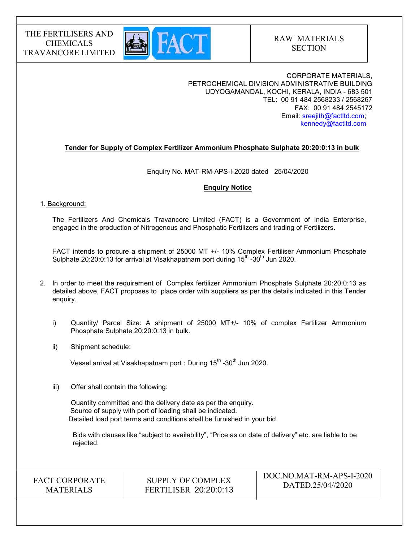

## CORPORATE MATERIALS, PETROCHEMICAL DIVISION ADMINISTRATIVE BUILDING UDYOGAMANDAL, KOCHI, KERALA, INDIA - 683 501 TEL: 00 91 484 2568233 / 2568267 FAX: 00 91 484 2545172 Email: sreejith@factltd.com; kennedy@factltd.com

## Tender for Supply of Complex Fertilizer Ammonium Phosphate Sulphate 20:20:0:13 in bulk

### Enquiry No. MAT-RM-APS-I-2020 dated 25/04/2020

### Enquiry Notice

### 1. Background:

The Fertilizers And Chemicals Travancore Limited (FACT) is a Government of India Enterprise, engaged in the production of Nitrogenous and Phosphatic Fertilizers and trading of Fertilizers.

 FACT intends to procure a shipment of 25000 MT +/- 10% Complex Fertiliser Ammonium Phosphate Sulphate 20:20:0:13 for arrival at Visakhapatnam port during  $15<sup>th</sup>$  -30<sup>th</sup> Jun 2020.

- 2. In order to meet the requirement of Complex fertilizer Ammonium Phosphate Sulphate 20:20:0:13 as detailed above, FACT proposes to place order with suppliers as per the details indicated in this Tender enquiry.
	- i) Quantity/ Parcel Size: A shipment of 25000 MT+/- 10% of complex Fertilizer Ammonium Phosphate Sulphate 20:20:0:13 in bulk.
	- ii) Shipment schedule:

Vessel arrival at Visakhapatnam port : During 15<sup>th</sup> -30<sup>th</sup> Jun 2020.

iii) Offer shall contain the following:

Quantity committed and the delivery date as per the enquiry. Source of supply with port of loading shall be indicated. Detailed load port terms and conditions shall be furnished in your bid.

 Bids with clauses like "subject to availability", "Price as on date of delivery" etc. are liable to be rejected.

FACT CORPORATE **MATERIALS** 

SUPPLY OF COMPLEX FERTILISER 20:20:0:13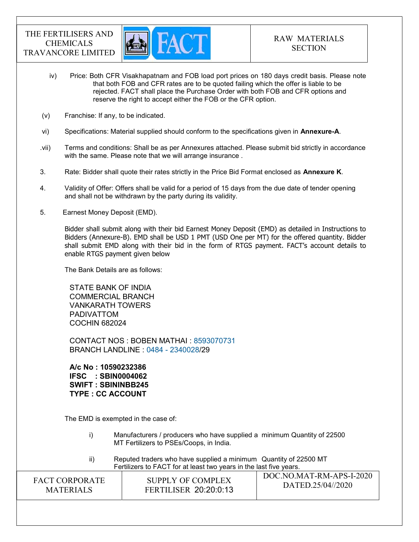

- iv) Price: Both CFR Visakhapatnam and FOB load port prices on 180 days credit basis. Please note that both FOB and CFR rates are to be quoted failing which the offer is liable to be rejected. FACT shall place the Purchase Order with both FOB and CFR options and reserve the right to accept either the FOB or the CFR option.
- (v) Franchise: If any, to be indicated.
- vi) Specifications: Material supplied should conform to the specifications given in Annexure-A.
- .vii) Terms and conditions: Shall be as per Annexures attached. Please submit bid strictly in accordance with the same. Please note that we will arrange insurance.
- 3. Rate: Bidder shall quote their rates strictly in the Price Bid Format enclosed as **Annexure K**.
- 4. Validity of Offer: Offers shall be valid for a period of 15 days from the due date of tender opening and shall not be withdrawn by the party during its validity.
- 5. Earnest Money Deposit (EMD).

Bidder shall submit along with their bid Earnest Money Deposit (EMD) as detailed in Instructions to Bidders (Annexure-B). EMD shall be USD 1 PMT (USD One per MT) for the offered quantity. Bidder shall submit EMD along with their bid in the form of RTGS payment. FACT's account details to enable RTGS payment given below

The Bank Details are as follows:

STATE BANK OF INDIA COMMERCIAL BRANCH VANKARATH TOWERS PADIVATTOM COCHIN 682024

CONTACT NOS : BOBEN MATHAI : 8593070731 BRANCH LANDLINE : 0484 - 2340028/29

A/c No : 10590232386 IFSC : SBIN0004062 SWIFT : SBININBB245 TYPE : CC ACCOUNT

The EMD is exempted in the case of:

- i) Manufacturers / producers who have supplied a minimum Quantity of 22500 MT Fertilizers to PSEs/Coops, in India.
- ii) Reputed traders who have supplied a minimum Quantity of 22500 MT Fertilizers to FACT for at least two years in the last five years.

FACT CORPORATE **MATERIALS** SUPPLY OF COMPLEX FERTILISER 20:20:0:13 DOC.NO.MAT-RM-APS-I-2020 DATED.25/04//2020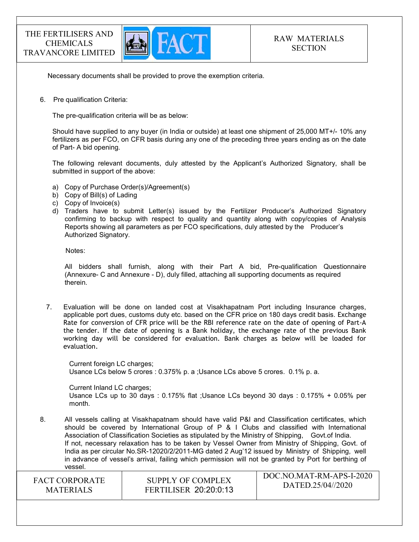

Necessary documents shall be provided to prove the exemption criteria.

6. Pre qualification Criteria:

The pre-qualification criteria will be as below:

Should have supplied to any buyer (in India or outside) at least one shipment of 25,000 MT+/- 10% any fertilizers as per FCO, on CFR basis during any one of the preceding three years ending as on the date of Part- A bid opening.

The following relevant documents, duly attested by the Applicant's Authorized Signatory, shall be submitted in support of the above:

- a) Copy of Purchase Order(s)/Agreement(s)
- b) Copy of Bill(s) of Lading
- c) Copy of Invoice(s)
- d) Traders have to submit Letter(s) issued by the Fertilizer Producer's Authorized Signatory confirming to backup with respect to quality and quantity along with copy/copies of Analysis Reports showing all parameters as per FCO specifications, duly attested by the Producer's Authorized Signatory.

Notes:

 All bidders shall furnish, along with their Part A bid, Pre-qualification Questionnaire (Annexure- C and Annexure - D), duly filled, attaching all supporting documents as required therein.

7. Evaluation will be done on landed cost at Visakhapatnam Port including Insurance charges, applicable port dues, customs duty etc. based on the CFR price on 180 days credit basis. Exchange Rate for conversion of CFR price will be the RBI reference rate on the date of opening of Part-A the tender. If the date of opening is a Bank holiday, the exchange rate of the previous Bank working day will be considered for evaluation. Bank charges as below will be loaded for evaluation.

Current foreign LC charges; Usance LCs below 5 crores : 0.375% p. a ;Usance LCs above 5 crores. 0.1% p. a.

Current Inland LC charges; Usance LCs up to 30 days : 0.175% flat ;Usance LCs beyond 30 days : 0.175% + 0.05% per month.

8. All vessels calling at Visakhapatnam should have valid P&I and Classification certificates, which should be covered by International Group of P & I Clubs and classified with International Association of Classification Societies as stipulated by the Ministry of Shipping, Govt.of India. If not, necessary relaxation has to be taken by Vessel Owner from Ministry of Shipping, Govt. of India as per circular No.SR-12020/2/2011-MG dated 2 Aug'12 issued by Ministry of Shipping, well in advance of vessel's arrival, failing which permission will not be granted by Port for berthing of vessel.

FACT CORPORATE **MATERIALS** 

SUPPLY OF COMPLEX FERTILISER 20:20:0:13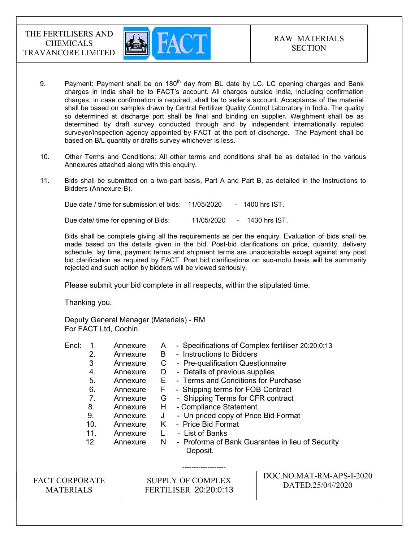

- 9. Payment: Payment shall be on  $180<sup>th</sup>$  day from BL date by LC. LC opening charges and Bank charges in India shall be to FACT's account. All charges outside India, including confirmation charges, in case confirmation is required, shall be to seller's account. Acceptance of the material shall be based on samples drawn by Central Fertilizer Quality Control Laboratory in India. The quality so determined at discharge port shall be final and binding on supplier. Weighment shall be as determined by draft survey conducted through and by independent internationally reputed surveyor/inspection agency appointed by FACT at the port of discharge. The Payment shall be based on B/L quantity or drafts survey whichever is less.
- 10. Other Terms and Conditions: All other terms and conditions shall be as detailed in the various Annexures attached along with this enquiry.
- 11. Bids shall be submitted on a two-part basis, Part A and Part B, as detailed in the Instructions to Bidders (Annexure-B).

Due date / time for submission of bids: 11/05/2020 - 1400 hrs IST. Due date/ time for opening of Bids: 11/05/2020 - 1430 hrs IST.

 Bids shall be complete giving all the requirements as per the enquiry. Evaluation of bids shall be made based on the details given in the bid. Post-bid clarifications on price, quantity, delivery schedule, lay time, payment terms and shipment terms are unacceptable except against any post bid clarification as required by FACT. Post bid clarifications on suo-motu basis will be summarily rejected and such action by bidders will be viewed seriously.

Please submit your bid complete in all respects, within the stipulated time.

Thanking you,

Deputy General Manager (Materials) - RM For FACT Ltd, Cochin.

-------------------

Encl: 1. Annexure A - Specifications of Complex fertiliser 20:20:0:13 2. Annexure B - Instructions to Bidders 3 Annexure C - Pre-qualification Questionnaire 4. Annexure D - Details of previous supplies 5. Annexure E - Terms and Conditions for Purchase 6. Annexure F - Shipping terms for FOB Contract 7. Annexure G - Shipping Terms for CFR contract 8. Annexure H - Compliance Statement 9. Annexure J - Un priced copy of Price Bid Format 10. Annexure K - Price Bid Format 11. Annexure L - List of Banks 12. Annexure N - Proforma of Bank Guarantee in lieu of Security Deposit.

| <b>FACT CORPORATE</b> | SUPPLY OF COMPLEX            | DOC.NO.MAT-RM-APS-I-2020 |
|-----------------------|------------------------------|--------------------------|
| <b>MATERIALS</b>      | <b>FERTILISER 20:20:0:13</b> | DATED.25/04//2020        |
|                       |                              |                          |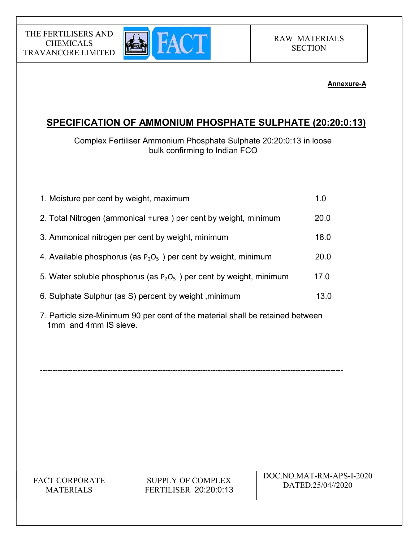## Annexure-A

# SPECIFICATION OF AMMONIUM PHOSPHATE SULPHATE (20:20:0:13)

Complex Fertiliser Ammonium Phosphate Sulphate 20:20:0:13 in loose bulk confirming to Indian FCO

| 1. Moisture per cent by weight, maximum                                | 1.0  |
|------------------------------------------------------------------------|------|
| 2. Total Nitrogen (ammonical +urea) per cent by weight, minimum        | 20.0 |
| 3. Ammonical nitrogen per cent by weight, minimum                      | 18.0 |
| 4. Available phosphorus (as $P_2O_5$ ) per cent by weight, minimum     | 20.0 |
| 5. Water soluble phosphorus (as $P_2O_5$ ) per cent by weight, minimum | 17.0 |
| 6. Sulphate Sulphur (as S) percent by weight, minimum                  | 13.0 |
|                                                                        |      |

7. Particle size-Minimum 90 per cent of the material shall be retained between 1mm and 4mm IS sieve.

-------------------------------------------------------------------------------------------------------------------------

FACT CORPORATE MATERIALS

THE FERTILISERS AND CHEMICALS TRAVANCORE LIMITED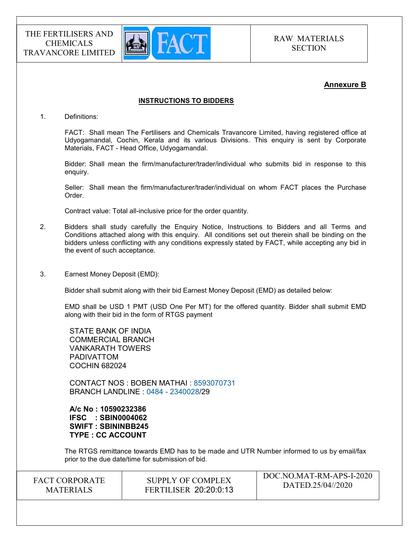

 $DQQ1IQ1I+HQ1I+DQ2I+2022$ 

## Annexure B

### INSTRUCTIONS TO BIDDERS

1. Definitions:

FACT: Shall mean The Fertilisers and Chemicals Travancore Limited, having registered office at Udyogamandal, Cochin, Kerala and its various Divisions. This enquiry is sent by Corporate Materials, FACT - Head Office, Udyogamandal.

Bidder: Shall mean the firm/manufacturer/trader/individual who submits bid in response to this enquiry.

Seller: Shall mean the firm/manufacturer/trader/individual on whom FACT places the Purchase Order.

Contract value: Total all-inclusive price for the order quantity.

- 2. Bidders shall study carefully the Enquiry Notice, Instructions to Bidders and all Terms and Conditions attached along with this enquiry. All conditions set out therein shall be binding on the bidders unless conflicting with any conditions expressly stated by FACT, while accepting any bid in the event of such acceptance.
- 3. Earnest Money Deposit (EMD):

Bidder shall submit along with their bid Earnest Money Deposit (EMD) as detailed below:

EMD shall be USD 1 PMT (USD One Per MT) for the offered quantity. Bidder shall submit EMD along with their bid in the form of RTGS payment

STATE BANK OF INDIA COMMERCIAL BRANCH VANKARATH TOWERS PADIVATTOM COCHIN 682024

CONTACT NOS : BOBEN MATHAI : 8593070731 BRANCH LANDLINE : 0484 - 2340028/29

A/c No : 10590232386 IFSC : SBIN0004062 SWIFT : SBININBB245 TYPE : CC ACCOUNT

The RTGS remittance towards EMD has to be made and UTR Number informed to us by email/fax prior to the due date/time for submission of bid.

| <b>FACT CORPORATE</b> | SUPPLY OF COMPLEX            | DOC.NO.MAT-RM-APS-I-2020<br>DATED.25/04//2020 |
|-----------------------|------------------------------|-----------------------------------------------|
| <b>MATERIALS</b>      | <b>FERTILISER 20:20:0:13</b> |                                               |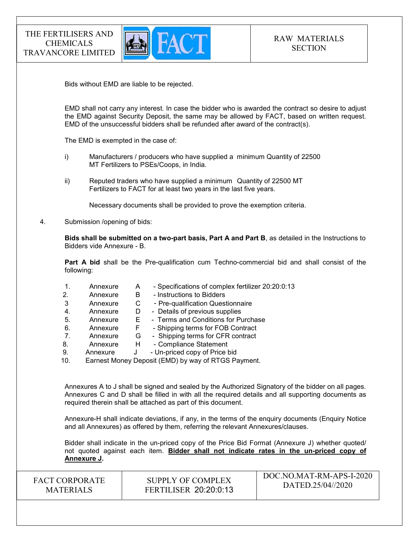

Bids without EMD are liable to be rejected.

EMD shall not carry any interest. In case the bidder who is awarded the contract so desire to adjust the EMD against Security Deposit, the same may be allowed by FACT, based on written request. EMD of the unsuccessful bidders shall be refunded after award of the contract(s).

The EMD is exempted in the case of:

- i) Manufacturers / producers who have supplied a minimum Quantity of 22500 MT Fertilizers to PSEs/Coops, in India.
- ii) Reputed traders who have supplied a minimum Quantity of 22500 MT Fertilizers to FACT for at least two years in the last five years.

Necessary documents shall be provided to prove the exemption criteria.

4. Submission /opening of bids:

Bids shall be submitted on a two-part basis, Part A and Part B, as detailed in the Instructions to Bidders vide Annexure - B.

Part A bid shall be the Pre-qualification cum Techno-commercial bid and shall consist of the following:

| 1.  | Annexure | A  | - Specifications of complex fertilizer 20:20:0:13   |
|-----|----------|----|-----------------------------------------------------|
| 2.  | Annexure | в  | - Instructions to Bidders                           |
| 3   | Annexure | С  | - Pre-qualification Questionnaire                   |
| 4.  | Annexure | D  | - Details of previous supplies                      |
| 5.  | Annexure | E. | - Terms and Conditions for Purchase                 |
| 6.  | Annexure | F  | - Shipping terms for FOB Contract                   |
| 7.  | Annexure | G  | - Shipping terms for CFR contract                   |
| 8.  | Annexure | н  | - Compliance Statement                              |
| 9.  | Annexure | J  | - Un-priced copy of Price bid                       |
| 10. |          |    | Earnest Money Deposit (EMD) by way of RTGS Payment. |

Annexures A to J shall be signed and sealed by the Authorized Signatory of the bidder on all pages. Annexures C and D shall be filled in with all the required details and all supporting documents as required therein shall be attached as part of this document.

Annexure-H shall indicate deviations, if any, in the terms of the enquiry documents (Enquiry Notice and all Annexures) as offered by them, referring the relevant Annexures/clauses.

Bidder shall indicate in the un-priced copy of the Price Bid Format (Annexure J) whether quoted/ not quoted against each item. Bidder shall not indicate rates in the un-priced copy of Annexure J.

FACT CORPORATE **MATERIALS** SUPPLY OF COMPLEX FERTILISER 20:20:0:13 DOC.NO.MAT-RM-APS-I-2020 DATED.25/04//2020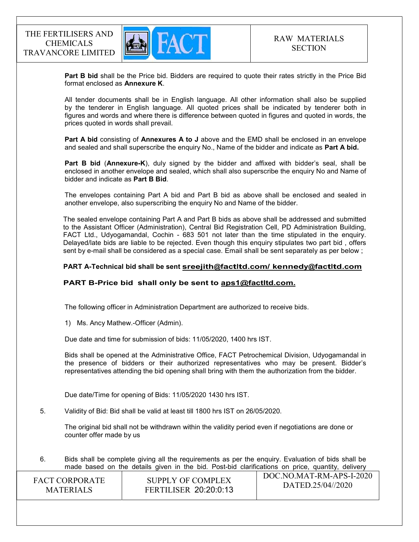

Part B bid shall be the Price bid. Bidders are required to quote their rates strictly in the Price Bid format enclosed as Annexure K.

 All tender documents shall be in English language. All other information shall also be supplied by the tenderer in English language. All quoted prices shall be indicated by tenderer both in figures and words and where there is difference between quoted in figures and quoted in words, the prices quoted in words shall prevail.

Part A bid consisting of Annexures A to J above and the EMD shall be enclosed in an envelope and sealed and shall superscribe the enquiry No., Name of the bidder and indicate as Part A bid.

Part B bid (Annexure-K), duly signed by the bidder and affixed with bidder's seal, shall be enclosed in another envelope and sealed, which shall also superscribe the enquiry No and Name of bidder and indicate as Part B Bid.

The envelopes containing Part A bid and Part B bid as above shall be enclosed and sealed in another envelope, also superscribing the enquiry No and Name of the bidder.

The sealed envelope containing Part A and Part B bids as above shall be addressed and submitted to the Assistant Officer (Administration), Central Bid Registration Cell, PD Administration Building, FACT Ltd., Udyogamandal, Cochin - 683 501 not later than the time stipulated in the enquiry. Delayed/late bids are liable to be rejected. Even though this enquiry stipulates two part bid , offers sent by e-mail shall be considered as a special case. Email shall be sent separately as per below ;

### PART A-Technical bid shall be sent sreejith@factltd.com/ kennedy@factltd.com

## PART B-Price bid shall only be sent to aps1@factltd.com.

The following officer in Administration Department are authorized to receive bids.

1) Ms. Ancy Mathew.-Officer (Admin).

Due date and time for submission of bids: 11/05/2020, 1400 hrs IST.

Bids shall be opened at the Administrative Office, FACT Petrochemical Division, Udyogamandal in the presence of bidders or their authorized representatives who may be present. Bidder's representatives attending the bid opening shall bring with them the authorization from the bidder.

Due date/Time for opening of Bids: 11/05/2020 1430 hrs IST.

5. Validity of Bid: Bid shall be valid at least till 1800 hrs IST on 26/05/2020.

The original bid shall not be withdrawn within the validity period even if negotiations are done or counter offer made by us

 $\overline{1\text{ DOC NOMAT~DM~ABC~I~2020}}$ 6. Bids shall be complete giving all the requirements as per the enquiry. Evaluation of bids shall be made based on the details given in the bid. Post-bid clarifications on price, quantity, delivery

| <b>FACT CORPORATE</b> | SUPPLY OF COMPLEX            | DOC.NO.MAT-RM-APS-I-2020 |
|-----------------------|------------------------------|--------------------------|
| <b>MATERIALS</b>      | <b>FERTILISER 20:20:0:13</b> | DATED.25/04//2020        |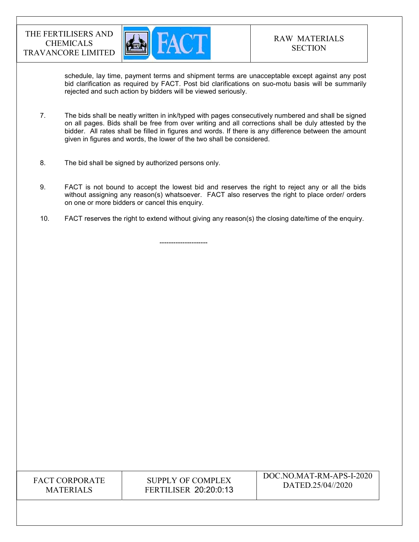

schedule, lay time, payment terms and shipment terms are unacceptable except against any post bid clarification as required by FACT. Post bid clarifications on suo-motu basis will be summarily rejected and such action by bidders will be viewed seriously.

- 7. The bids shall be neatly written in ink/typed with pages consecutively numbered and shall be signed on all pages. Bids shall be free from over writing and all corrections shall be duly attested by the bidder. All rates shall be filled in figures and words. If there is any difference between the amount given in figures and words, the lower of the two shall be considered.
- 8. The bid shall be signed by authorized persons only.

---------------------

- 9. FACT is not bound to accept the lowest bid and reserves the right to reject any or all the bids without assigning any reason(s) whatsoever. FACT also reserves the right to place order/ orders on one or more bidders or cancel this enquiry.
- 10. FACT reserves the right to extend without giving any reason(s) the closing date/time of the enquiry.

FACT CORPORATE MATERIALS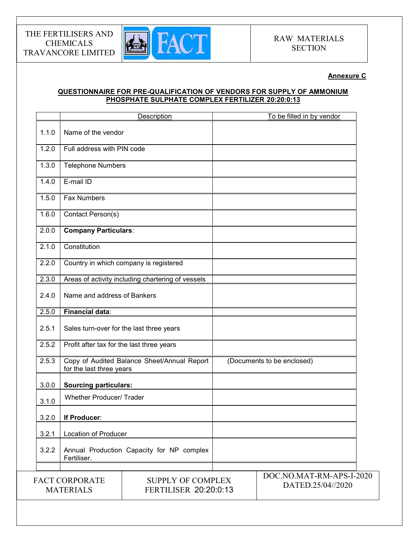

## Annexure C

## QUESTIONNAIRE FOR PRE-QUALIFICATION OF VENDORS FOR SUPPLY OF AMMONIUM PHOSPHATE SULPHATE COMPLEX FERTILIZER 20:20:0:13

|       |                                           | Description                                       | To be filled in by vendor  |
|-------|-------------------------------------------|---------------------------------------------------|----------------------------|
| 1.1.0 | Name of the vendor                        |                                                   |                            |
| 1.2.0 | Full address with PIN code                |                                                   |                            |
| 1.3.0 | <b>Telephone Numbers</b>                  |                                                   |                            |
| 1.4.0 | E-mail ID                                 |                                                   |                            |
| 1.5.0 | <b>Fax Numbers</b>                        |                                                   |                            |
| 1.6.0 | Contact Person(s)                         |                                                   |                            |
| 2.0.0 | <b>Company Particulars:</b>               |                                                   |                            |
| 2.1.0 | Constitution                              |                                                   |                            |
| 2.2.0 |                                           | Country in which company is registered            |                            |
| 2.3.0 |                                           | Areas of activity including chartering of vessels |                            |
| 2.4.0 | Name and address of Bankers               |                                                   |                            |
| 2.5.0 | <b>Financial data:</b>                    |                                                   |                            |
| 2.5.1 | Sales turn-over for the last three years  |                                                   |                            |
| 2.5.2 | Profit after tax for the last three years |                                                   |                            |
| 2.5.3 | for the last three years                  | Copy of Audited Balance Sheet/Annual Report       | (Documents to be enclosed) |
| 3.0.0 | <b>Sourcing particulars:</b>              |                                                   |                            |
| 3.1.0 | <b>Whether Producer/ Trader</b>           |                                                   |                            |
| 3.2.0 | If Producer:                              |                                                   |                            |
| 3.2.1 | Location of Producer                      |                                                   |                            |
| 3.2.2 | Fertiliser.                               | Annual Production Capacity for NP complex         |                            |
|       |                                           |                                                   | DOC.NO.MAT-RM-APS-I-2020   |
|       | <b>FACT CORPORATE</b><br><b>MATERIALS</b> | <b>SUPPLY OF COMPLEX</b><br>FERTILISER 20:20:0:13 | DATED.25/04//2020          |
|       |                                           |                                                   |                            |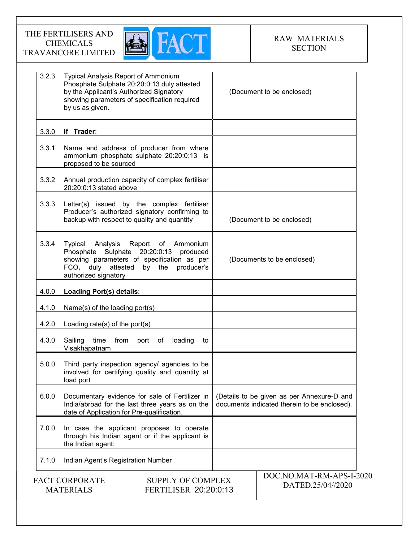

| 3.2.3 | <b>Typical Analysis Report of Ammonium</b><br>by us as given.                                                                                   | Phosphate Sulphate 20:20:0:13 duly attested<br>by the Applicant's Authorized Signatory<br>showing parameters of specification required     |  | (Document to be enclosed)                                                                  |
|-------|-------------------------------------------------------------------------------------------------------------------------------------------------|--------------------------------------------------------------------------------------------------------------------------------------------|--|--------------------------------------------------------------------------------------------|
| 3.3.0 | If Trader:                                                                                                                                      |                                                                                                                                            |  |                                                                                            |
| 3.3.1 | proposed to be sourced                                                                                                                          | Name and address of producer from where<br>ammonium phosphate sulphate 20:20:0:13 is                                                       |  |                                                                                            |
| 3.3.2 | 20:20:0:13 stated above                                                                                                                         | Annual production capacity of complex fertiliser                                                                                           |  |                                                                                            |
| 3.3.3 |                                                                                                                                                 | Letter(s) issued by the complex fertiliser<br>Producer's authorized signatory confirming to<br>backup with respect to quality and quantity |  | (Document to be enclosed)                                                                  |
| 3.3.4 | Typical Analysis<br>FCO, duly attested by the<br>authorized signatory                                                                           | Report of Ammonium<br>Phosphate Sulphate 20:20:0:13 produced<br>showing parameters of specification as per<br>producer's                   |  | (Documents to be enclosed)                                                                 |
| 4.0.0 | Loading Port(s) details:                                                                                                                        |                                                                                                                                            |  |                                                                                            |
| 4.1.0 | Name(s) of the loading port(s)                                                                                                                  |                                                                                                                                            |  |                                                                                            |
| 4.2.0 | Loading rate(s) of the port(s)                                                                                                                  |                                                                                                                                            |  |                                                                                            |
| 4.3.0 | Sailing<br>time<br>Visakhapatnam                                                                                                                | from<br>port of<br>loading<br>to                                                                                                           |  |                                                                                            |
| 5.0.0 | load port                                                                                                                                       | Third party inspection agency/ agencies to be<br>involved for certifying quality and quantity at                                           |  |                                                                                            |
| 6.0.0 | Documentary evidence for sale of Fertilizer in<br>India/abroad for the last three years as on the<br>date of Application for Pre-qualification. |                                                                                                                                            |  | (Details to be given as per Annexure-D and<br>documents indicated therein to be enclosed). |
| 7.0.0 | the Indian agent:                                                                                                                               | In case the applicant proposes to operate<br>through his Indian agent or if the applicant is                                               |  |                                                                                            |
| 7.1.0 | Indian Agent's Registration Number                                                                                                              |                                                                                                                                            |  |                                                                                            |
|       | <b>FACT CORPORATE</b><br><b>SUPPLY OF COMPLEX</b><br><b>FERTILISER 20:20:0:13</b><br><b>MATERIALS</b>                                           |                                                                                                                                            |  | DOC.NO.MAT-RM-APS-I-2020<br>DATED.25/04//2020                                              |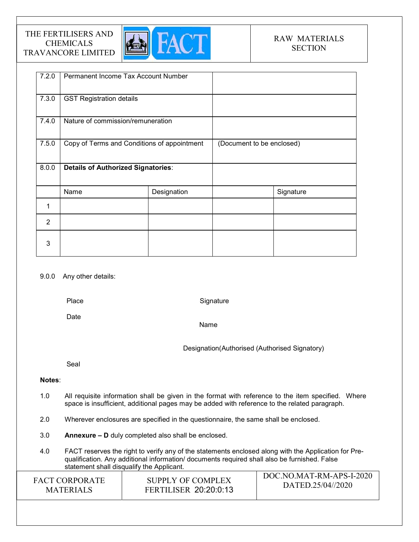

| 7.2.0          | Permanent Income Tax Account Number         |             |                           |           |
|----------------|---------------------------------------------|-------------|---------------------------|-----------|
| 7.3.0          | <b>GST Registration details</b>             |             |                           |           |
| 7.4.0          | Nature of commission/remuneration           |             |                           |           |
| 7.5.0          | Copy of Terms and Conditions of appointment |             | (Document to be enclosed) |           |
| 8.0.0          | <b>Details of Authorized Signatories:</b>   |             |                           |           |
|                | Name                                        | Designation |                           | Signature |
|                |                                             |             |                           |           |
| $\overline{2}$ |                                             |             |                           |           |
| 3              |                                             |             |                           |           |

## 9.0.0 Any other details:

Place

**Signature** 

Date

Name

Designation(Authorised (Authorised Signatory)

Seal

## Notes:

- 1.0 All requisite information shall be given in the format with reference to the item specified. Where space is insufficient, additional pages may be added with reference to the related paragraph.
- 2.0 Wherever enclosures are specified in the questionnaire, the same shall be enclosed.
- 3.0 Annexure D duly completed also shall be enclosed.
- 4.0 FACT reserves the right to verify any of the statements enclosed along with the Application for Prequalification. Any additional information/ documents required shall also be furnished. False statement shall disqualify the Applicant.

| SUPPLY OF COMPLEX<br><b>FACT CORPORATE</b><br>DATED.25/04//2020<br><b>FERTILISER 20:20:0:13</b><br><b>MATERIALS</b> |
|---------------------------------------------------------------------------------------------------------------------|
|---------------------------------------------------------------------------------------------------------------------|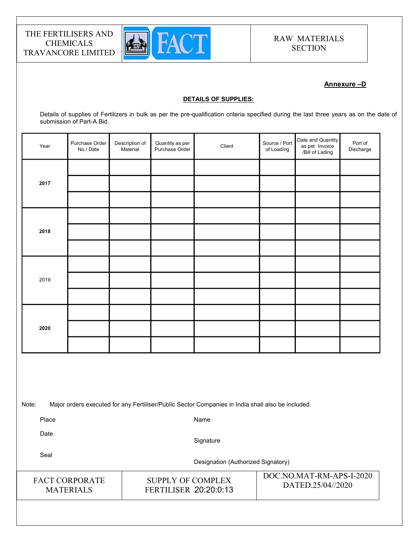

## Annexure –D

#### DETAILS OF SUPPLIES:

Details of supplies of Fertilizers in bulk as per the pre-qualification criteria specified during the last three years as on the date of submission of Part-A Bid.

| Year | Purchase Order<br>No./Date | Description of<br>Material | Quantity as per<br>Purchase Order | Client | Source / Port<br>of Loading | Date and Quantity<br>as per Invoice<br>/Bill of Lading | Port of<br>Discharge |  |
|------|----------------------------|----------------------------|-----------------------------------|--------|-----------------------------|--------------------------------------------------------|----------------------|--|
|      |                            |                            |                                   |        |                             |                                                        |                      |  |
| 2017 |                            |                            |                                   |        |                             |                                                        |                      |  |
|      |                            |                            |                                   |        |                             |                                                        |                      |  |
|      |                            |                            |                                   |        |                             |                                                        |                      |  |
| 2018 |                            |                            |                                   |        |                             |                                                        |                      |  |
|      |                            |                            |                                   |        |                             |                                                        |                      |  |
|      |                            |                            |                                   |        |                             |                                                        |                      |  |
| 2019 |                            |                            |                                   |        |                             |                                                        |                      |  |
|      |                            |                            |                                   |        |                             |                                                        |                      |  |
|      |                            |                            |                                   |        |                             |                                                        |                      |  |
| 2020 |                            |                            |                                   |        |                             |                                                        |                      |  |
|      |                            |                            |                                   |        |                             |                                                        |                      |  |
|      |                            |                            |                                   |        |                             |                                                        |                      |  |
|      |                            |                            |                                   |        |                             |                                                        |                      |  |

Note: Major orders executed for any Fertiliser/Public Sector Companies in India shall also be included.

Place

Name

Date

**Signature** 

SUPPLY OF COMPLEX FERTILISER 20:20:0:13

Seal

Designation (Authorized Signatory)

| <b>FACT CORPORATE</b> |
|-----------------------|
| <b>MATERIALS</b>      |

DOC.NO.MAT-RM-APS-I-2020 DATED.25/04//2020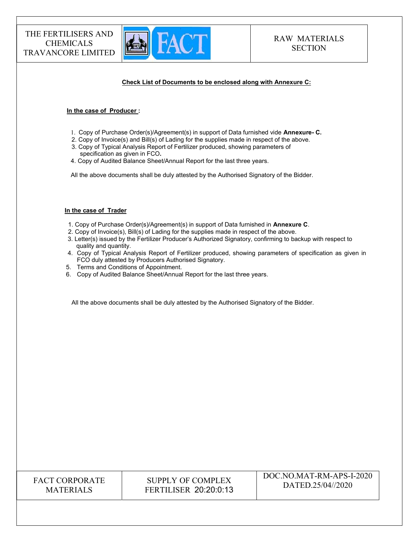

#### Check List of Documents to be enclosed along with Annexure C:

#### In the case of Producer :

- 1. Copy of Purchase Order(s)/Agreement(s) in support of Data furnished vide Annexure- C.
- 2. Copy of Invoice(s) and Bill(s) of Lading for the supplies made in respect of the above.
- 3. Copy of Typical Analysis Report of Fertilizer produced, showing parameters of specification as given in FCO.
- 4. Copy of Audited Balance Sheet/Annual Report for the last three years.

All the above documents shall be duly attested by the Authorised Signatory of the Bidder.

#### In the case of Trader

- 1. Copy of Purchase Order(s)/Agreement(s) in support of Data furnished in Annexure C.
- 2. Copy of Invoice(s), Bill(s) of Lading for the supplies made in respect of the above.
- 3. Letter(s) issued by the Fertilizer Producer's Authorized Signatory, confirming to backup with respect to quality and quantity.
- 4. Copy of Typical Analysis Report of Fertilizer produced, showing parameters of specification as given in FCO duly attested by Producers Authorised Signatory.
- 5. Terms and Conditions of Appointment.
- 6. Copy of Audited Balance Sheet/Annual Report for the last three years.

All the above documents shall be duly attested by the Authorised Signatory of the Bidder.

## FACT CORPORATE MATERIALS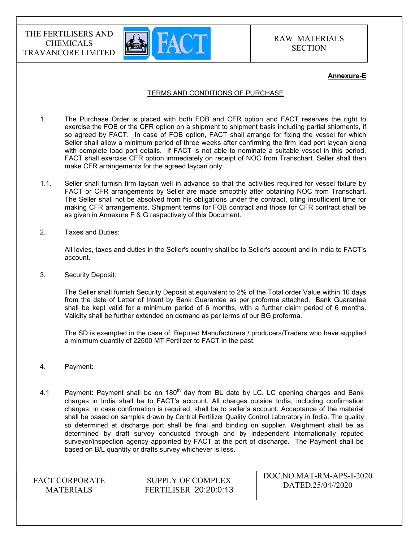

#### Annexure-E

#### TERMS AND CONDITIONS OF PURCHASE

- 1. The Purchase Order is placed with both FOB and CFR option and FACT reserves the right to exercise the FOB or the CFR option on a shipment to shipment basis including partial shipments, if so agreed by FACT. In case of FOB option, FACT shall arrange for fixing the vessel for which Seller shall allow a minimum period of three weeks after confirming the firm load port laycan along with complete load port details. If FACT is not able to nominate a suitable vessel in this period, FACT shall exercise CFR option immediately on receipt of NOC from Transchart. Seller shall then make CFR arrangements for the agreed laycan only.
- 1.1. Seller shall furnish firm laycan well in advance so that the activities required for vessel fixture by FACT or CFR arrangements by Seller are made smoothly after obtaining NOC from Transchart. The Seller shall not be absolved from his obligations under the contract, citing insufficient time for making CFR arrangements. Shipment terms for FOB contract and those for CFR contract shall be as given in Annexure F & G respectively of this Document.
- 2. Taxes and Duties:

All levies, taxes and duties in the Seller's country shall be to Seller's account and in India to FACT's account.

3. Security Deposit:

The Seller shall furnish Security Deposit at equivalent to 2% of the Total order Value within 10 days from the date of Letter of Intent by Bank Guarantee as per proforma attached. Bank Guarantee shall be kept valid for a minimum period of 6 months, with a further claim period of 6 months. Validity shall be further extended on demand as per terms of our BG proforma.

The SD is exempted in the case of: Reputed Manufacturers / producers/Traders who have supplied a minimum quantity of 22500 MT Fertilizer to FACT in the past.

- 4. Payment:
- 4.1 Payment: Payment shall be on  $180<sup>th</sup>$  day from BL date by LC. LC opening charges and Bank charges in India shall be to FACT's account. All charges outside India, including confirmation charges, in case confirmation is required, shall be to seller's account. Acceptance of the material shall be based on samples drawn by Central Fertilizer Quality Control Laboratory in India. The quality so determined at discharge port shall be final and binding on supplier. Weighment shall be as determined by draft survey conducted through and by independent internationally reputed surveyor/inspection agency appointed by FACT at the port of discharge. The Payment shall be based on B/L quantity or drafts survey whichever is less.

FACT CORPORATE MATERIALS

## SUPPLY OF COMPLEX FERTILISER 20:20:0:13

DOC.NO.MAT-RM-APS-I-2020 DATED.25/04//2020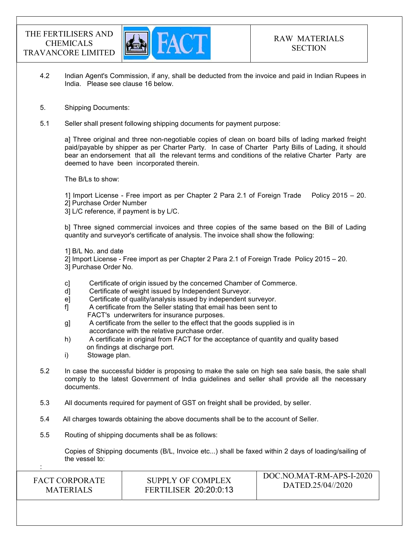

- 4.2 Indian Agent's Commission, if any, shall be deducted from the invoice and paid in Indian Rupees in India. Please see clause 16 below.
- 5. Shipping Documents:
- 5.1 Seller shall present following shipping documents for payment purpose:

a] Three original and three non-negotiable copies of clean on board bills of lading marked freight paid/payable by shipper as per Charter Party. In case of Charter Party Bills of Lading, it should bear an endorsement that all the relevant terms and conditions of the relative Charter Party are deemed to have been incorporated therein.

The B/Ls to show:

1] Import License - Free import as per Chapter 2 Para 2.1 of Foreign Trade Policy 2015 – 20. 2] Purchase Order Number

3] L/C reference, if payment is by L/C.

b] Three signed commercial invoices and three copies of the same based on the Bill of Lading quantity and surveyor's certificate of analysis. The invoice shall show the following:

1] B/L No. and date

- 2] Import License Free import as per Chapter 2 Para 2.1 of Foreign Trade Policy 2015 20.
- 3] Purchase Order No.
- c] Certificate of origin issued by the concerned Chamber of Commerce.
- d] Certificate of weight issued by Independent Surveyor.
- e] Certificate of quality/analysis issued by independent surveyor.
- f] A certificate from the Seller stating that email has been sent to FACT's underwriters for insurance purposes.
- g] A certificate from the seller to the effect that the goods supplied is in accordance with the relative purchase order.
- h) A certificate in original from FACT for the acceptance of quantity and quality based on findings at discharge port.
- i) Stowage plan.

:

- 5.2 In case the successful bidder is proposing to make the sale on high sea sale basis, the sale shall comply to the latest Government of India guidelines and seller shall provide all the necessary documents.
- 5.3 All documents required for payment of GST on freight shall be provided, by seller.
- 5.4 All charges towards obtaining the above documents shall be to the account of Seller.
- 5.5 Routing of shipping documents shall be as follows:

 Copies of Shipping documents (B/L, Invoice etc...) shall be faxed within 2 days of loading/sailing of the vessel to:

| <b>FACT CORPORATE</b> | SUPPLY OF COMPLEX            | DOC.NO.MAT-RM-APS-I-2020 |
|-----------------------|------------------------------|--------------------------|
| <b>MATERIALS</b>      | <b>FERTILISER 20:20:0:13</b> | DATED.25/04//2020        |
|                       |                              |                          |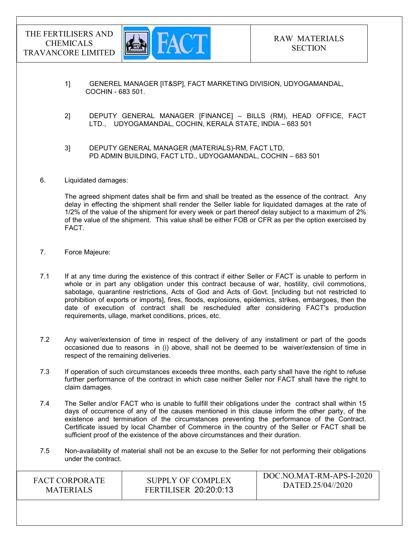

DOC.NO.MAT-RM-APS-I-2020

- 1] GENEREL MANAGER [IT&SP], FACT MARKETING DIVISION, UDYOGAMANDAL, COCHIN - 683 501.
- 2] DEPUTY GENERAL MANAGER [FINANCE] BILLS (RM), HEAD OFFICE, FACT LTD., UDYOGAMANDAL, COCHIN, KERALA STATE, INDIA – 683 501
- 3] DEPUTY GENERAL MANAGER (MATERIALS)-RM, FACT LTD, PD ADMIN BUILDING, FACT LTD., UDYOGAMANDAL, COCHIN – 683 501
- 6. Liquidated damages:

The agreed shipment dates shall be firm and shall be treated as the essence of the contract. Any delay in effecting the shipment shall render the Seller liable for liquidated damages at the rate of 1/2% of the value of the shipment for every week or part thereof delay subject to a maximum of 2% of the value of the shipment. This value shall be either FOB or CFR as per the option exercised by FACT.

- 7. Force Majeure:
- 7.1 If at any time during the existence of this contract if either Seller or FACT is unable to perform in whole or in part any obligation under this contract because of war, hostility, civil commotions, sabotage, quarantine restrictions, Acts of God and Acts of Govt. [including but not restricted to prohibition of exports or imports], fires, floods, explosions, epidemics, strikes, embargoes, then the date of execution of contract shall be rescheduled after considering FACT's production requirements, ullage, market conditions, prices, etc.
- 7.2 Any waiver/extension of time in respect of the delivery of any installment or part of the goods occasioned due to reasons in (i) above, shall not be deemed to be waiver/extension of time in respect of the remaining deliveries.
- 7.3 If operation of such circumstances exceeds three months, each party shall have the right to refuse further performance of the contract in which case neither Seller nor FACT shall have the right to claim damages.
- 7.4 The Seller and/or FACT who is unable to fulfill their obligations under the contract shall within 15 days of occurrence of any of the causes mentioned in this clause inform the other party, of the existence and termination of the circumstances preventing the performance of the Contract. Certificate issued by local Chamber of Commerce in the country of the Seller or FACT shall be sufficient proof of the existence of the above circumstances and their duration.
- 7.5 Non-availability of material shall not be an excuse to the Seller for not performing their obligations under the contract.

| <b>FACT CORPORATE</b> | SUPPLY OF COMPLEX            | $100C$ . NO. MAT-RM-APS-1-2020 |
|-----------------------|------------------------------|--------------------------------|
| <b>MATERIALS</b>      | <b>FERTILISER 20:20:0:13</b> | DATED.25/04//2020              |
|                       |                              |                                |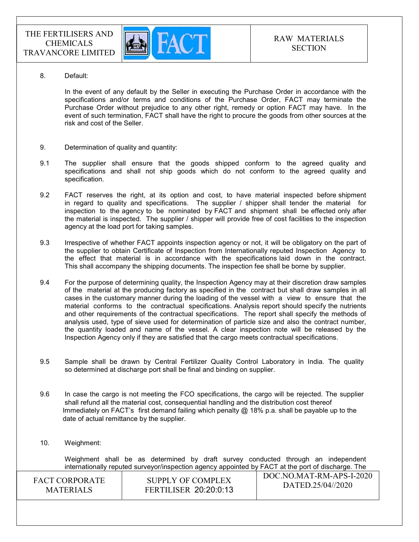

8. Default:

In the event of any default by the Seller in executing the Purchase Order in accordance with the specifications and/or terms and conditions of the Purchase Order, FACT may terminate the Purchase Order without prejudice to any other right, remedy or option FACT may have. In the event of such termination, FACT shall have the right to procure the goods from other sources at the risk and cost of the Seller.

- 9. Determination of quality and quantity:
- 9.1 The supplier shall ensure that the goods shipped conform to the agreed quality and specifications and shall not ship goods which do not conform to the agreed quality and specification.
- 9.2 FACT reserves the right, at its option and cost, to have material inspected before shipment in regard to quality and specifications. The supplier / shipper shall tender the material for inspection to the agency to be nominated by FACT and shipment shall be effected only after the material is inspected. The supplier / shipper will provide free of cost facilities to the inspection agency at the load port for taking samples.
- 9.3 Irrespective of whether FACT appoints inspection agency or not, it will be obligatory on the part of the supplier to obtain Certificate of Inspection from Internationally reputed Inspection Agency to the effect that material is in accordance with the specifications laid down in the contract. This shall accompany the shipping documents. The inspection fee shall be borne by supplier.
- 9.4 For the purpose of determining quality, the Inspection Agency may at their discretion draw samples of the material at the producing factory as specified in the contract but shall draw samples in all cases in the customary manner during the loading of the vessel with a view to ensure that the material conforms to the contractual specifications. Analysis report should specify the nutrients and other requirements of the contractual specifications. The report shall specify the methods of analysis used, type of sieve used for determination of particle size and also the contract number, the quantity loaded and name of the vessel. A clear inspection note will be released by the Inspection Agency only if they are satisfied that the cargo meets contractual specifications.
- 9.5 Sample shall be drawn by Central Fertilizer Quality Control Laboratory in India. The quality so determined at discharge port shall be final and binding on supplier.
- 9.6 In case the cargo is not meeting the FCO specifications, the cargo will be rejected. The supplier shall refund all the material cost, consequential handling and the distribution cost thereof Immediately on FACT's first demand failing which penalty  $@18\%$  p.a. shall be payable up to the date of actual remittance by the supplier.
- 10. Weighment:

 $DQQNQMFRPL+D$  Weighment shall be as determined by draft survey conducted through an independent internationally reputed surveyor/inspection agency appointed by FACT at the port of discharge. The

| <b>FACT CORPORATE</b> | SUPPLY OF COMPLEX            | DOC.NO.MAT-RM-APS-I-2020 |
|-----------------------|------------------------------|--------------------------|
| <b>MATERIALS</b>      | <b>FERTILISER 20:20:0:13</b> | DATED.25/04//2020        |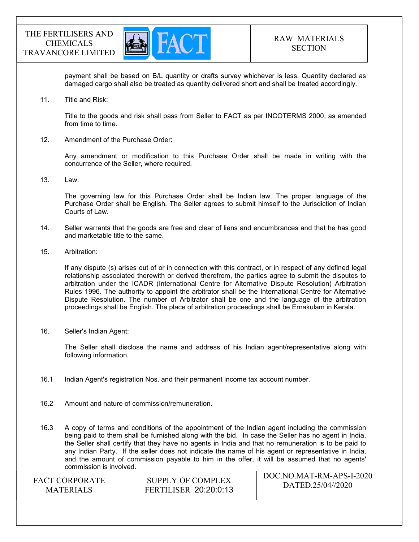

payment shall be based on B/L quantity or drafts survey whichever is less. Quantity declared as damaged cargo shall also be treated as quantity delivered short and shall be treated accordingly.

11. Title and Risk:

Title to the goods and risk shall pass from Seller to FACT as per INCOTERMS 2000, as amended from time to time.

12. Amendment of the Purchase Order:

Any amendment or modification to this Purchase Order shall be made in writing with the concurrence of the Seller, where required.

13. Law:

The governing law for this Purchase Order shall be Indian law. The proper language of the Purchase Order shall be English. The Seller agrees to submit himself to the Jurisdiction of Indian Courts of Law.

- 14. Seller warrants that the goods are free and clear of liens and encumbrances and that he has good and marketable title to the same.
- 15. Arbitration:

If any dispute (s) arises out of or in connection with this contract, or in respect of any defined legal relationship associated therewith or derived therefrom, the parties agree to submit the disputes to arbitration under the ICADR (International Centre for Alternative Dispute Resolution) Arbitration Rules 1996. The authority to appoint the arbitrator shall be the International Centre for Alternative Dispute Resolution. The number of Arbitrator shall be one and the language of the arbitration proceedings shall be English. The place of arbitration proceedings shall be Ernakulam in Kerala.

16. Seller's Indian Agent:

The Seller shall disclose the name and address of his Indian agent/representative along with following information.

- 16.1 Indian Agent's registration Nos. and their permanent income tax account number.
- 16.2 Amount and nature of commission/remuneration.

16.3 A copy of terms and conditions of the appointment of the Indian agent including the commission being paid to them shall be furnished along with the bid. In case the Seller has no agent in India, the Seller shall certify that they have no agents in India and that no remuneration is to be paid to any Indian Party. If the seller does not indicate the name of his agent or representative in India, and the amount of commission payable to him in the offer, it will be assumed that no agents' commission is involved.

| <b>FACT CORPORATE</b> |
|-----------------------|
| <b>MATERIALS</b>      |

SUPPLY OF COMPLEX FERTILISER 20:20:0:13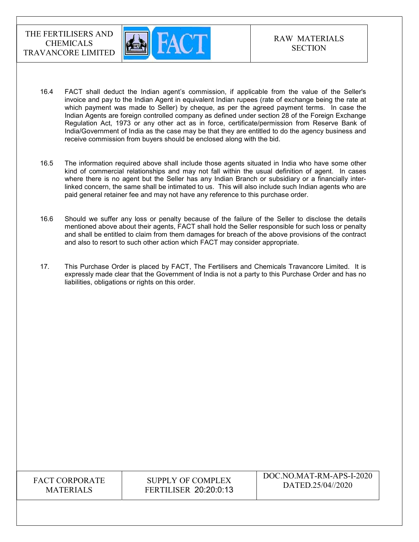

- 16.4 FACT shall deduct the Indian agent's commission, if applicable from the value of the Seller's invoice and pay to the Indian Agent in equivalent Indian rupees (rate of exchange being the rate at which payment was made to Seller) by cheque, as per the agreed payment terms. In case the Indian Agents are foreign controlled company as defined under section 28 of the Foreign Exchange Regulation Act, 1973 or any other act as in force, certificate/permission from Reserve Bank of India/Government of India as the case may be that they are entitled to do the agency business and receive commission from buyers should be enclosed along with the bid.
- 16.5 The information required above shall include those agents situated in India who have some other kind of commercial relationships and may not fall within the usual definition of agent. In cases where there is no agent but the Seller has any Indian Branch or subsidiary or a financially interlinked concern, the same shall be intimated to us. This will also include such Indian agents who are paid general retainer fee and may not have any reference to this purchase order.
- 16.6 Should we suffer any loss or penalty because of the failure of the Seller to disclose the details mentioned above about their agents, FACT shall hold the Seller responsible for such loss or penalty and shall be entitled to claim from them damages for breach of the above provisions of the contract and also to resort to such other action which FACT may consider appropriate.
- 17. This Purchase Order is placed by FACT, The Fertilisers and Chemicals Travancore Limited. It is expressly made clear that the Government of India is not a party to this Purchase Order and has no liabilities, obligations or rights on this order.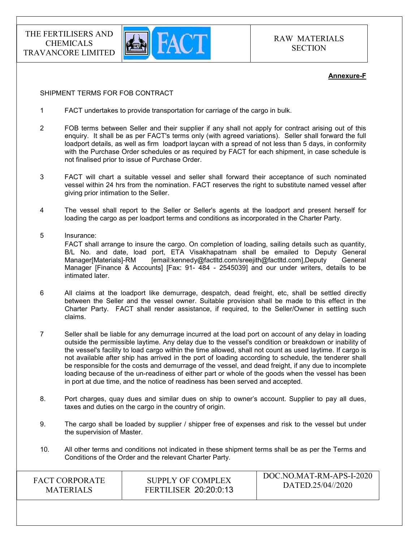

RAW MATERIALS **SECTION** 

#### Annexure-F

### SHIPMENT TERMS FOR FOB CONTRACT

- 1 FACT undertakes to provide transportation for carriage of the cargo in bulk.
- 2 FOB terms between Seller and their supplier if any shall not apply for contract arising out of this enquiry. It shall be as per FACT's terms only (with agreed variations). Seller shall forward the full loadport details, as well as firm loadport laycan with a spread of not less than 5 days, in conformity with the Purchase Order schedules or as required by FACT for each shipment, in case schedule is not finalised prior to issue of Purchase Order.
- 3 FACT will chart a suitable vessel and seller shall forward their acceptance of such nominated vessel within 24 hrs from the nomination. FACT reserves the right to substitute named vessel after giving prior intimation to the Seller.
- 4 The vessel shall report to the Seller or Seller's agents at the loadport and present herself for loading the cargo as per loadport terms and conditions as incorporated in the Charter Party.
- 5 Insurance: FACT shall arrange to insure the cargo. On completion of loading, sailing details such as quantity, B/L No. and date, load port, ETA Visakhapatnam shall be emailed to Deputy General Manager[Materials]-RM [email:kennedy@factltd.com/sreejith@factltd.com],Deputy General Manager [Finance & Accounts] [Fax: 91- 484 - 2545039] and our under writers, details to be intimated later.
- 6 All claims at the loadport like demurrage, despatch, dead freight, etc, shall be settled directly between the Seller and the vessel owner. Suitable provision shall be made to this effect in the Charter Party. FACT shall render assistance, if required, to the Seller/Owner in settling such claims.
- 7 Seller shall be liable for any demurrage incurred at the load port on account of any delay in loading outside the permissible laytime. Any delay due to the vessel's condition or breakdown or inability of the vessel's facility to load cargo within the time allowed, shall not count as used laytime. If cargo is not available after ship has arrived in the port of loading according to schedule, the tenderer shall be responsible for the costs and demurrage of the vessel, and dead freight, if any due to incomplete loading because of the un-readiness of either part or whole of the goods when the vessel has been in port at due time, and the notice of readiness has been served and accepted.
- 8. Port charges, quay dues and similar dues on ship to owner's account. Supplier to pay all dues, taxes and duties on the cargo in the country of origin.
- 9. The cargo shall be loaded by supplier / shipper free of expenses and risk to the vessel but under the supervision of Master.
- 10. All other terms and conditions not indicated in these shipment terms shall be as per the Terms and Conditions of the Order and the relevant Charter Party.

| SUPPLY OF COMPLEX<br><b>FACT CORPORATE</b><br><b>FERTILISER 20:20:0:13</b><br><b>MATERIALS</b> | DOC.NO.MAT-RM-APS-I-2020<br>DATED.25/04//2020 |
|------------------------------------------------------------------------------------------------|-----------------------------------------------|
|------------------------------------------------------------------------------------------------|-----------------------------------------------|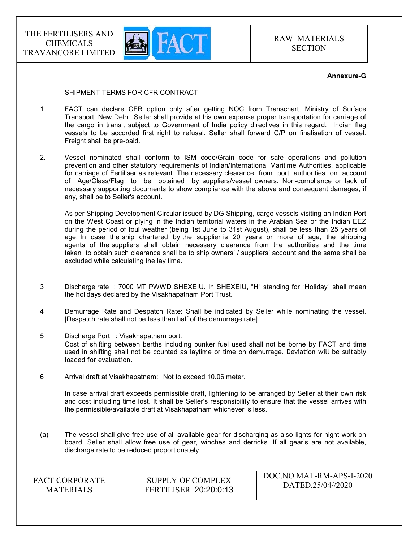

### Annexure-G

#### SHIPMENT TERMS FOR CFR CONTRACT

- 1 FACT can declare CFR option only after getting NOC from Transchart, Ministry of Surface Transport, New Delhi. Seller shall provide at his own expense proper transportation for carriage of the cargo in transit subject to Government of India policy directives in this regard. Indian flag vessels to be accorded first right to refusal. Seller shall forward C/P on finalisation of vessel. Freight shall be pre-paid.
- 2. Vessel nominated shall conform to ISM code/Grain code for safe operations and pollution prevention and other statutory requirements of Indian/International Maritime Authorities, applicable for carriage of Fertiliser as relevant. The necessary clearance from port authorities on account of Age/Class/Flag to be obtained by suppliers/vessel owners. Non-compliance or lack of necessary supporting documents to show compliance with the above and consequent damages, if any, shall be to Seller's account.

 As per Shipping Development Circular issued by DG Shipping, cargo vessels visiting an Indian Port on the West Coast or plying in the Indian territorial waters in the Arabian Sea or the Indian EEZ during the period of foul weather (being 1st June to 31st August), shall be less than 25 years of age. In case the ship chartered by the supplier is 20 years or more of age, the shipping agents of the suppliers shall obtain necessary clearance from the authorities and the time taken to obtain such clearance shall be to ship owners' / suppliers' account and the same shall be excluded while calculating the lay time.

- 3 Discharge rate : 7000 MT PWWD SHEXEIU. In SHEXEIU, "H" standing for "Holiday" shall mean the holidays declared by the Visakhapatnam Port Trust.
- 4 Demurrage Rate and Despatch Rate: Shall be indicated by Seller while nominating the vessel. [Despatch rate shall not be less than half of the demurrage rate]
- 5 Discharge Port : Visakhapatnam port. Cost of shifting between berths including bunker fuel used shall not be borne by FACT and time used in shifting shall not be counted as laytime or time on demurrage. Deviation will be suitably loaded for evaluation.
- 6 Arrival draft at Visakhapatnam: Not to exceed 10.06 meter.

 In case arrival draft exceeds permissible draft, lightening to be arranged by Seller at their own risk and cost including time lost. It shall be Seller's responsibility to ensure that the vessel arrives with the permissible/available draft at Visakhapatnam whichever is less.

(a) The vessel shall give free use of all available gear for discharging as also lights for night work on board. Seller shall allow free use of gear, winches and derricks. If all gear's are not available, discharge rate to be reduced proportionately.

| <b>FACT CORPORATE</b> |
|-----------------------|
| <b>MATERIALS</b>      |

SUPPLY OF COMPLEX FERTILISER 20:20:0:13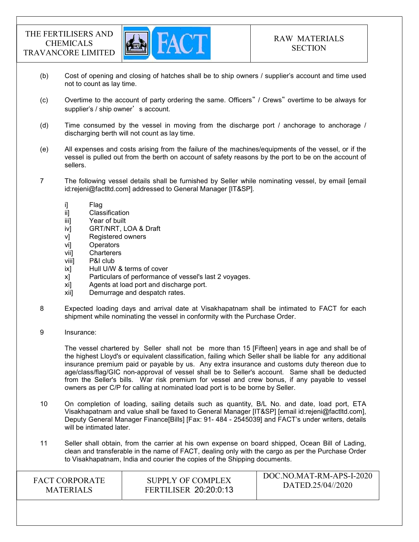

- (b) Cost of opening and closing of hatches shall be to ship owners / supplier's account and time used not to count as lay time.
- (c) Overtime to the account of party ordering the same. Officers" / Crews" overtime to be always for supplier's / ship owner's account.
- (d) Time consumed by the vessel in moving from the discharge port / anchorage to anchorage / discharging berth will not count as lay time.
- (e) All expenses and costs arising from the failure of the machines/equipments of the vessel, or if the vessel is pulled out from the berth on account of safety reasons by the port to be on the account of sellers.
- 7 The following vessel details shall be furnished by Seller while nominating vessel, by email [email id:rejeni@factltd.com] addressed to General Manager [IT&SP].
	-
	- i] Flag<br>ii] Clas Classification
	- iii] Year of built
	- iv] GRT/NRT, LOA & Draft
	- v] Registered owners
	- vi] Operators
	- vii] Charterers
	- viii] P&I club
	- ix] Hull U/W & terms of cover
	- x] Particulars of performance of vessel's last 2 voyages.
	- xi] Agents at load port and discharge port.
	- xii] Demurrage and despatch rates.
- 8 Expected loading days and arrival date at Visakhapatnam shall be intimated to FACT for each shipment while nominating the vessel in conformity with the Purchase Order.
- 9 Insurance:

 The vessel chartered by Seller shall not be more than 15 [Fifteen] years in age and shall be of the highest Lloyd's or equivalent classification, failing which Seller shall be liable for any additional insurance premium paid or payable by us. Any extra insurance and customs duty thereon due to age/class/flag/GIC non-approval of vessel shall be to Seller's account. Same shall be deducted from the Seller's bills. War risk premium for vessel and crew bonus, if any payable to vessel owners as per C/P for calling at nominated load port is to be borne by Seller.

- 10 On completion of loading, sailing details such as quantity, B/L No. and date, load port, ETA Visakhapatnam and value shall be faxed to General Manager [IT&SP] [email id:rejeni@factltd.com], Deputy General Manager Finance[Bills] [Fax: 91- 484 - 2545039] and FACT's under writers, details will be intimated later.
- 11 Seller shall obtain, from the carrier at his own expense on board shipped, Ocean Bill of Lading, clean and transferable in the name of FACT, dealing only with the cargo as per the Purchase Order to Visakhapatnam, India and courier the copies of the Shipping documents.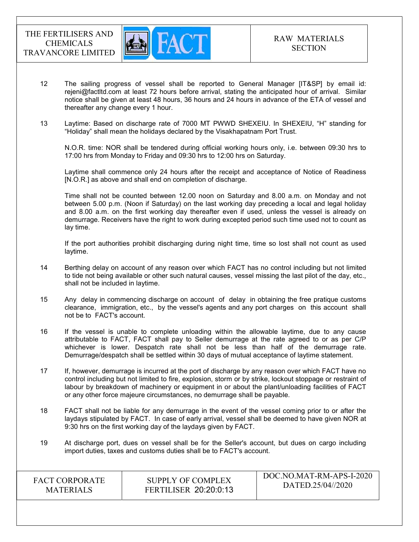

- 12 The sailing progress of vessel shall be reported to General Manager [IT&SP] by email id: rejeni@factltd.com at least 72 hours before arrival, stating the anticipated hour of arrival. Similar notice shall be given at least 48 hours, 36 hours and 24 hours in advance of the ETA of vessel and thereafter any change every 1 hour.
- 13 Laytime: Based on discharge rate of 7000 MT PWWD SHEXEIU. In SHEXEIU, "H" standing for "Holiday" shall mean the holidays declared by the Visakhapatnam Port Trust.

 N.O.R. time: NOR shall be tendered during official working hours only, i.e. between 09:30 hrs to 17:00 hrs from Monday to Friday and 09:30 hrs to 12:00 hrs on Saturday.

 Laytime shall commence only 24 hours after the receipt and acceptance of Notice of Readiness [N.O.R.] as above and shall end on completion of discharge.

 Time shall not be counted between 12.00 noon on Saturday and 8.00 a.m. on Monday and not between 5.00 p.m. (Noon if Saturday) on the last working day preceding a local and legal holiday and 8.00 a.m. on the first working day thereafter even if used, unless the vessel is already on demurrage. Receivers have the right to work during excepted period such time used not to count as lay time.

 If the port authorities prohibit discharging during night time, time so lost shall not count as used laytime.

- 14 Berthing delay on account of any reason over which FACT has no control including but not limited to tide not being available or other such natural causes, vessel missing the last pilot of the day, etc., shall not be included in laytime.
- 15 Any delay in commencing discharge on account of delay in obtaining the free pratique customs clearance, immigration, etc., by the vessel's agents and any port charges on this account shall not be to FACT's account.
- 16 If the vessel is unable to complete unloading within the allowable laytime, due to any cause attributable to FACT, FACT shall pay to Seller demurrage at the rate agreed to or as per C/P whichever is lower. Despatch rate shall not be less than half of the demurrage rate. Demurrage/despatch shall be settled within 30 days of mutual acceptance of laytime statement.
- 17 If, however, demurrage is incurred at the port of discharge by any reason over which FACT have no control including but not limited to fire, explosion, storm or by strike, lockout stoppage or restraint of labour by breakdown of machinery or equipment in or about the plant/unloading facilities of FACT or any other force majeure circumstances, no demurrage shall be payable.
- 18 FACT shall not be liable for any demurrage in the event of the vessel coming prior to or after the laydays stipulated by FACT. In case of early arrival, vessel shall be deemed to have given NOR at 9:30 hrs on the first working day of the laydays given by FACT.
- 19 At discharge port, dues on vessel shall be for the Seller's account, but dues on cargo including import duties, taxes and customs duties shall be to FACT's account.

| <b>FACT CORPORATE</b> |  |
|-----------------------|--|
| <b>MATERIALS</b>      |  |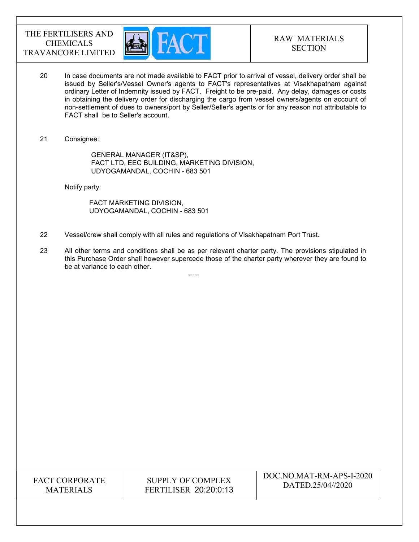

- 20 In case documents are not made available to FACT prior to arrival of vessel, delivery order shall be issued by Seller's/Vessel Owner's agents to FACT's representatives at Visakhapatnam against ordinary Letter of Indemnity issued by FACT. Freight to be pre-paid. Any delay, damages or costs in obtaining the delivery order for discharging the cargo from vessel owners/agents on account of non-settlement of dues to owners/port by Seller/Seller's agents or for any reason not attributable to FACT shall be to Seller's account.
- 21 Consignee:

 GENERAL MANAGER (IT&SP), FACT LTD, EEC BUILDING, MARKETING DIVISION, UDYOGAMANDAL, COCHIN - 683 501

Notify party:

 FACT MARKETING DIVISION, UDYOGAMANDAL, COCHIN - 683 501

-----

- 22 Vessel/crew shall comply with all rules and regulations of Visakhapatnam Port Trust.
- 23 All other terms and conditions shall be as per relevant charter party. The provisions stipulated in this Purchase Order shall however supercede those of the charter party wherever they are found to be at variance to each other.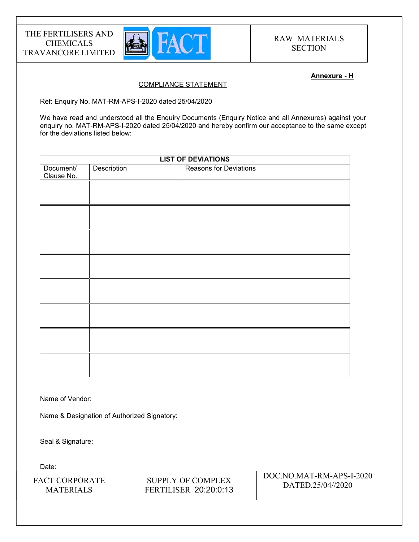

### Annexure - H

## COMPLIANCE STATEMENT

Ref: Enquiry No. MAT-RM-APS-I-2020 dated 25/04/2020

We have read and understood all the Enquiry Documents (Enquiry Notice and all Annexures) against your enquiry no. MAT-RM-APS-I-2020 dated 25/04/2020 and hereby confirm our acceptance to the same except for the deviations listed below:

| <b>LIST OF DEVIATIONS</b> |             |                        |
|---------------------------|-------------|------------------------|
| Document/<br>Clause No.   | Description | Reasons for Deviations |
|                           |             |                        |
|                           |             |                        |
|                           |             |                        |
|                           |             |                        |
|                           |             |                        |
|                           |             |                        |
|                           |             |                        |
|                           |             |                        |
|                           |             |                        |

Name of Vendor:

Name & Designation of Authorized Signatory:

Seal & Signature:

Date: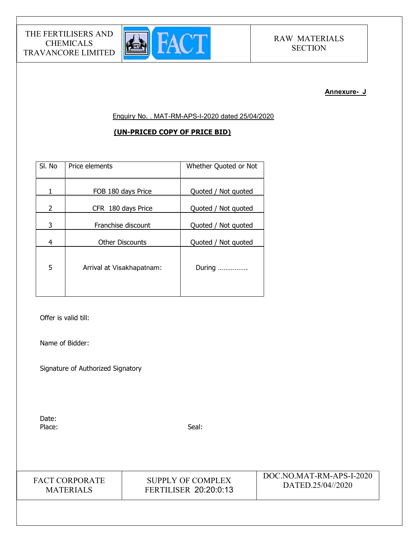

#### Annexure- J

Enquiry No. . MAT-RM-APS-I-2020 dated 25/04/2020

## (UN-PRICED COPY OF PRICE BID)

| SI. No | Price elements            | Whether Quoted or Not |
|--------|---------------------------|-----------------------|
| 1      | FOB 180 days Price        | Quoted / Not quoted   |
| 2      | CFR 180 days Price        | Quoted / Not quoted   |
| 3      | Franchise discount        | Quoted / Not quoted   |
| 4      | <b>Other Discounts</b>    | Quoted / Not quoted   |
| 5      | Arrival at Visakhapatnam: | During                |

Offer is valid till:

Name of Bidder:

Signature of Authorized Signatory

Date: Place: Seal: Seal: Seal: Seal: Seal: Seal: Seal: Seal: Seal: Seal: Seal: Seal: Seal: Seal: Seal: Seal: Seal: Seal: Seal: Seal: Seal: Seal: Seal: Seal: Seal: Seal: Seal: Seal: Seal: Seal: Seal: Seal: Seal: Seal: Seal: Seal:

FACT CORPORATE MATERIALS

SUPPLY OF COMPLEX FERTILISER 20:20:0:13 DOC.NO.MAT-RM-APS-I-2020 DATED.25/04//2020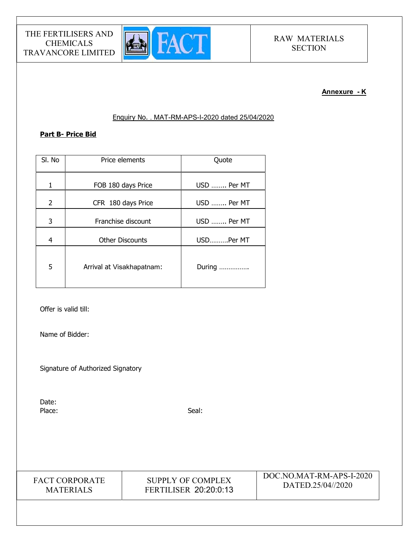

## Annexure - K

## Enquiry No. . MAT-RM-APS-I-2020 dated 25/04/2020

## Part B- Price Bid

| SI. No         | Price elements            | Quote       |
|----------------|---------------------------|-------------|
| 1              | FOB 180 days Price        | USD  Per MT |
| $\overline{2}$ | CFR 180 days Price        | USD  Per MT |
| 3              | Franchise discount        | USD  Per MT |
| $\overline{4}$ | <b>Other Discounts</b>    | USDPer MT   |
| 5              | Arrival at Visakhapatnam: | During      |

Offer is valid till:

Name of Bidder:

Signature of Authorized Signatory

Date: Place: Seal: Seal: Seal: Seal: Seal: Seal: Seal: Seal: Seal: Seal: Seal: Seal: Seal: Seal: Seal: Seal: Seal: Seal: Seal: Seal: Seal: Seal: Seal: Seal: Seal: Seal: Seal: Seal: Seal: Seal: Seal: Seal: Seal: Seal: Seal: Seal:

FACT CORPORATE MATERIALS

SUPPLY OF COMPLEX FERTILISER 20:20:0:13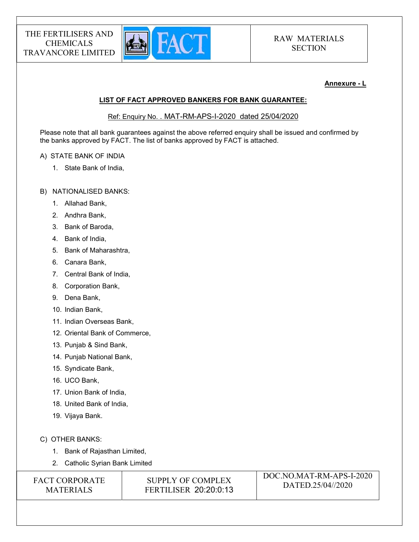

### Annexure - L

## LIST OF FACT APPROVED BANKERS FOR BANK GUARANTEE:

Ref: Enquiry No. . MAT-RM-APS-I-2020 dated 25/04/2020

Please note that all bank guarantees against the above referred enquiry shall be issued and confirmed by the banks approved by FACT. The list of banks approved by FACT is attached.

### A) STATE BANK OF INDIA

1. State Bank of India,

### B) NATIONALISED BANKS:

- 1. Allahad Bank,
- 2. Andhra Bank,
- 3. Bank of Baroda,
- 4. Bank of India,
- 5. Bank of Maharashtra,
- 6. Canara Bank,
- 7. Central Bank of India,
- 8. Corporation Bank,
- 9. Dena Bank,
- 10. Indian Bank,
- 11. Indian Overseas Bank,
- 12. Oriental Bank of Commerce,
- 13. Punjab & Sind Bank,
- 14. Punjab National Bank,
- 15. Syndicate Bank,
- 16. UCO Bank,
- 17. Union Bank of India,
- 18. United Bank of India,
- 19. Vijaya Bank.
- C) OTHER BANKS:
	- 1. Bank of Rajasthan Limited,
	- 2. Catholic Syrian Bank Limited

| <b>FACT CORPORATE</b> |
|-----------------------|
| <b>MATERIALS</b>      |

SUPPLY OF COMPLEX FERTILISER 20:20:0:13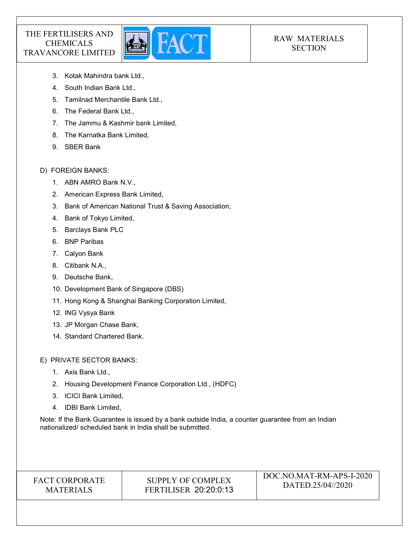

## RAW MATERIALS **SECTION**

- 3. Kotak Mahindra bank Ltd.,
- 4. South Indian Bank Ltd.,
- 5. Tamilnad Merchantile Bank Ltd.,
- 6. The Federal Bank Ltd.,
- 7. The Jammu & Kashmir bank Limited,
- 8. The Karnatka Bank Limited,
- 9. SBER Bank

## D) FOREIGN BANKS:

- 1. ABN AMRO Bank N.V.,
- 2. American Express Bank Limited,
- 3. Bank of American National Trust & Saving Association,
- 4. Bank of Tokyo Limited,
- 5. Barclays Bank PLC
- 6. BNP Paribas
- 7. Calyon Bank
- 8. Citibank N.A.,
- 9. Deutsche Bank,
- 10. Development Bank of Singapore (DBS)
- 11. Hong Kong & Shanghai Banking Corporation Limited,
- 12. ING Vysya Bank
- 13. JP Morgan Chase Bank,
- 14. Standard Chartered Bank.

E) PRIVATE SECTOR BANKS:

- 1. Axis Bank Ltd.,
- 2. Housing Development Finance Corporation Ltd., (HDFC)
- 3. ICICI Bank Limited,
- 4. IDBI Bank Limited,

Note: If the Bank Guarantee is issued by a bank outside India, a counter guarantee from an Indian nationalized/ scheduled bank in India shall be submitted.

## FACT CORPORATE MATERIALS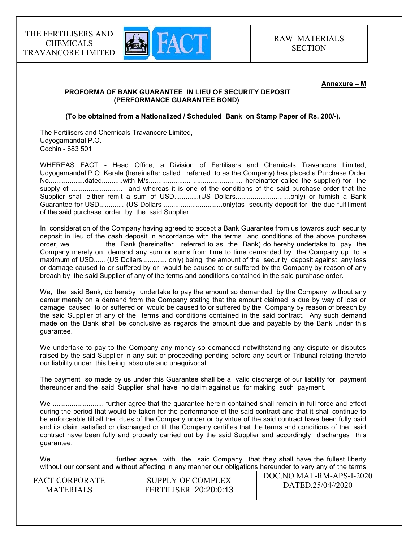

#### Annexure – M

### PROFORMA OF BANK GUARANTEE IN LIEU OF SECURITY DEPOSIT (PERFORMANCE GUARANTEE BOND)

(To be obtained from a Nationalized / Scheduled Bank on Stamp Paper of Rs. 200/-).

The Fertilisers and Chemicals Travancore Limited, Udyogamandal P.O. Cochin - 683 501

WHEREAS FACT - Head Office, a Division of Fertilisers and Chemicals Travancore Limited, Udyogamandal P.O. Kerala (hereinafter called referred to as the Company) has placed a Purchase Order No...................dated...........with M/s...................... .......................... hereinafter called the supplier) for the supply of ........................... and whereas it is one of the conditions of the said purchase order that the Supplier shall either remit a sum of USD.............(US Dollars................................only) or furnish a Bank Guarantee for USD............. (US Dollars ...............................only)as security deposit for the due fulfillment of the said purchase order by the said Supplier.

In consideration of the Company having agreed to accept a Bank Guarantee from us towards such security deposit in lieu of the cash deposit in accordance with the terms and conditions of the above purchase order, we.................. the Bank (hereinafter referred to as the Bank) do hereby undertake to pay the Company merely on demand any sum or sums from time to time demanded by the Company up to a maximum of USD...... (US Dollars............. only) being the amount of the security deposit against any loss or damage caused to or suffered by or would be caused to or suffered by the Company by reason of any breach by the said Supplier of any of the terms and conditions contained in the said purchase order.

We, the said Bank, do hereby undertake to pay the amount so demanded by the Company without any demur merely on a demand from the Company stating that the amount claimed is due by way of loss or damage caused to or suffered or would be caused to or suffered by the Company by reason of breach by the said Supplier of any of the terms and conditions contained in the said contract. Any such demand made on the Bank shall be conclusive as regards the amount due and payable by the Bank under this guarantee.

We undertake to pay to the Company any money so demanded notwithstanding any dispute or disputes raised by the said Supplier in any suit or proceeding pending before any court or Tribunal relating thereto our liability under this being absolute and unequivocal.

The payment so made by us under this Guarantee shall be a valid discharge of our liability for payment thereunder and the said Supplier shall have no claim against us for making such payment.

We ........................... further agree that the guarantee herein contained shall remain in full force and effect during the period that would be taken for the performance of the said contract and that it shall continue to be enforceable till all the dues of the Company under or by virtue of the said contract have been fully paid and its claim satisfied or discharged or till the Company certifies that the terms and conditions of the said contract have been fully and properly carried out by the said Supplier and accordingly discharges this guarantee.

 $\overline{D}$ We .............................. further agree with the said Company that they shall have the fullest liberty without our consent and without affecting in any manner our obligations hereunder to vary any of the terms

| <b>FACT CORPORATE</b> | SUPPLY OF COMPLEX            | DOC.NO.MAT-RM-APS-I-2020 |
|-----------------------|------------------------------|--------------------------|
| <b>MATERIALS</b>      | <b>FERTILISER 20:20:0:13</b> | DATED.25/04//2020        |